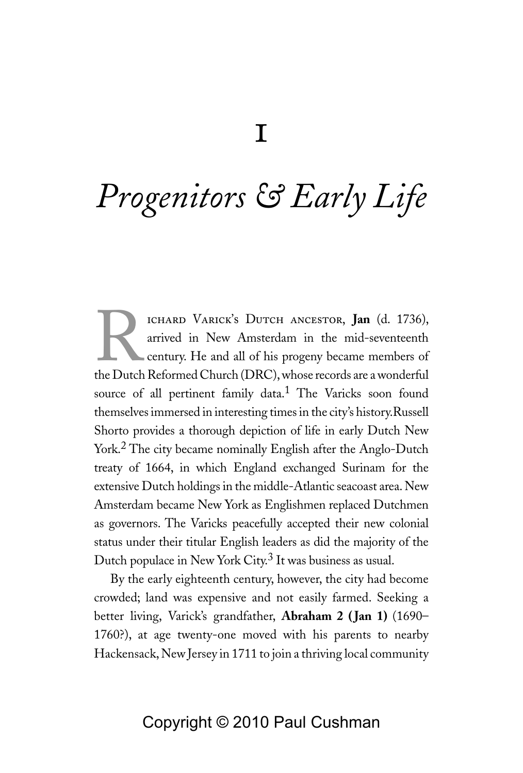# *Progenitors & Early Life*

ICHARD VARICK'S DUTCH ANCESTOR, **Jan** (d. 1736),<br>arrived in New Amsterdam in the mid-seventeenth<br>century. He and all of his progeny became members of<br>the Dutch Reformed Church (DRC) whose records are a wonderful arrived in New Amsterdam in the mid-seventeenth century. He and all of his progeny became members of the Dutch Reformed Church (DRC), whose records are a wonderful source of all pertinent family data.<sup>1</sup> The Varicks soon found themselves immersed in interesting times in the city's history.Russell Shorto provides a thorough depiction of life in early Dutch New York.2 The city became nominally English after the Anglo-Dutch treaty of 1664, in which England exchanged Surinam for the extensive Dutch holdings in the middle-Atlantic seacoast area. New Amsterdam became New York as Englishmen replaced Dutchmen as governors. The Varicks peacefully accepted their new colonial status under their titular English leaders as did the majority of the Dutch populace in New York City.<sup>3</sup> It was business as usual.

By the early eighteenth century, however, the city had become crowded; land was expensive and not easily farmed. Seeking a better living, Varick's grandfather, **Abraham 2 ( Jan 1)** (1690– 1760?), at age twenty-one moved with his parents to nearby Hackensack, New Jersey in 1711 to join a thriving local community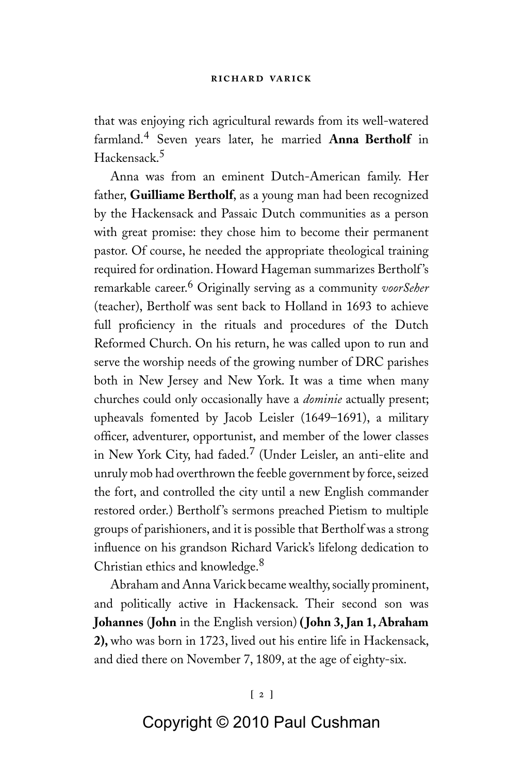that was enjoying rich agricultural rewards from its well-watered farmland.4 Seven years later, he married **Anna Bertholf** in Hackensack.5

Anna was from an eminent Dutch-American family. Her father, **Guilliame Bertholf**, as a young man had been recognized by the Hackensack and Passaic Dutch communities as a person with great promise: they chose him to become their permanent pastor. Of course, he needed the appropriate theological training required for ordination. Howard Hageman summarizes Bertholf 's remarkable career.6 Originally serving as a community *voorSeher* (teacher), Bertholf was sent back to Holland in 1693 to achieve full proficiency in the rituals and procedures of the Dutch Reformed Church. On his return, he was called upon to run and serve the worship needs of the growing number of DRC parishes both in New Jersey and New York. It was a time when many churches could only occasionally have a *dominie* actually present; upheavals fomented by Jacob Leisler (1649–1691), a military officer, adventurer, opportunist, and member of the lower classes in New York City, had faded.7 (Under Leisler, an anti-elite and unruly mob had overthrown the feeble government by force, seized the fort, and controlled the city until a new English commander restored order.) Bertholf's sermons preached Pietism to multiple groups of parishioners, and it is possible that Bertholf was a strong influence on his grandson Richard Varick's lifelong dedication to Christian ethics and knowledge.<sup>8</sup>

Abraham and Anna Varick became wealthy, socially prominent, and politically active in Hackensack. Their second son was **Johannes** (**John** in the English version) **( John 3, Jan 1, Abraham 2),** who was born in 1723, lived out his entire life in Hackensack, and died there on November 7, 1809, at the age of eighty-six.

### **[ ] [ ]**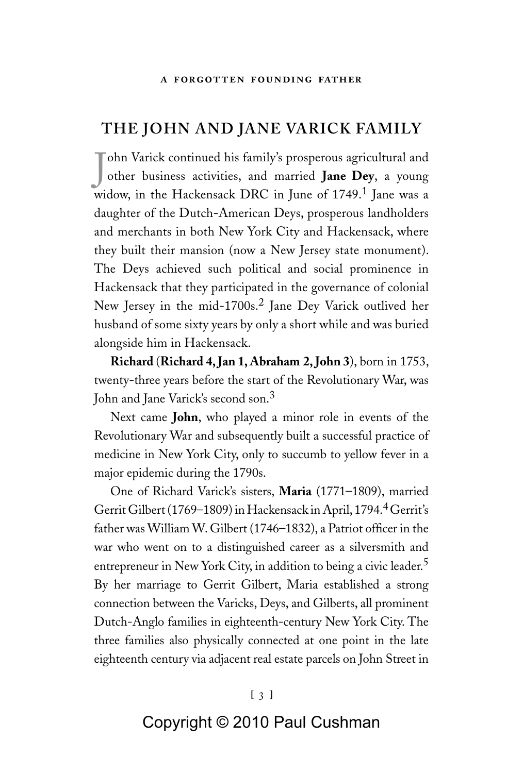# **The John and Jane Varick Family**

J other business activities, and married **Jane Dey**, a young ohn Varick continued his family's prosperous agricultural and widow, in the Hackensack DRC in June of 1749.<sup>1</sup> Jane was a daughter of the Dutch-American Deys, prosperous landholders and merchants in both New York City and Hackensack, where they built their mansion (now a New Jersey state monument). The Deys achieved such political and social prominence in Hackensack that they participated in the governance of colonial New Jersey in the mid-1700s.<sup>2</sup> Jane Dey Varick outlived her husband of some sixty years by only a short while and was buried alongside him in Hackensack.

**Richard** (**Richard 4, Jan 1, Abraham 2, John 3**), born in 1753, twenty-three years before the start of the Revolutionary War, was John and Jane Varick's second son.<sup>3</sup>

Next came **John**, who played a minor role in events of the Revolutionary War and subsequently built a successful practice of medicine in New York City, only to succumb to yellow fever in a major epidemic during the 1790s.

One of Richard Varick's sisters, **Maria** (1771–1809), married Gerrit Gilbert (1769–1809) in Hackensack in April, 1794.<sup>4</sup> Gerrit's father was William W. Gilbert (1746–1832), a Patriot officer in the war who went on to a distinguished career as a silversmith and entrepreneur in New York City, in addition to being a civic leader.<sup>5</sup> By her marriage to Gerrit Gilbert, Maria established a strong connection between the Varicks, Deys, and Gilberts, all prominent Dutch-Anglo families in eighteenth-century New York City. The three families also physically connected at one point in the late eighteenth century via adjacent real estate parcels on John Street in

#### **[ ]**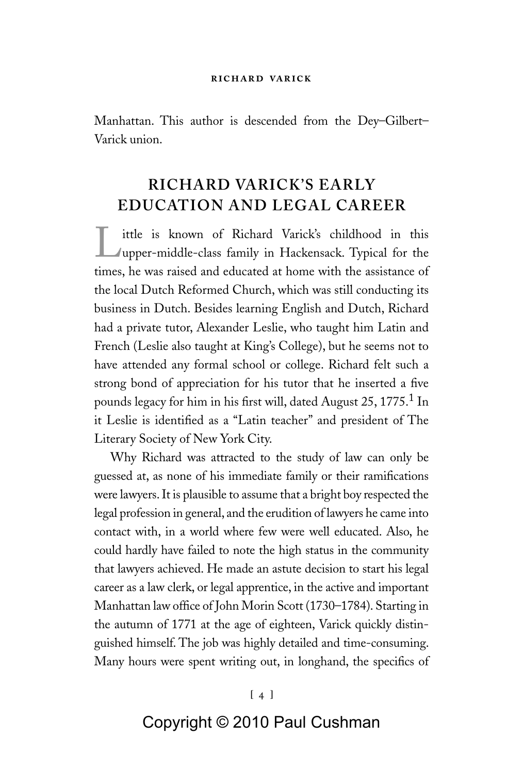Manhattan. This author is descended from the Dey–Gilbert– Varick union.

# **Richard Varick's Early Education and Legal Career**

Little is known of Richard Varick's childhood in this upper-middle-class family in Hackensack. Typical for the times, he was raised and educated at home with the assistance of the local Dutch Reformed Church, which was still conducting its business in Dutch. Besides learning English and Dutch, Richard had a private tutor, Alexander Leslie, who taught him Latin and French (Leslie also taught at King's College), but he seems not to have attended any formal school or college. Richard felt such a strong bond of appreciation for his tutor that he inserted a five pounds legacy for him in his first will, dated August 25, 1775. $1$  In it Leslie is identified as a "Latin teacher" and president of The Literary Society of New York City.

Why Richard was attracted to the study of law can only be guessed at, as none of his immediate family or their ramifications were lawyers. It is plausible to assume that a bright boy respected the legal profession in general, and the erudition of lawyers he came into contact with, in a world where few were well educated. Also, he could hardly have failed to note the high status in the community that lawyers achieved. He made an astute decision to start his legal career as a law clerk, or legal apprentice, in the active and important Manhattan law office of John Morin Scott (1730–1784). Starting in the autumn of 1771 at the age of eighteen, Varick quickly distinguished himself. The job was highly detailed and time-consuming. Many hours were spent writing out, in longhand, the specifics of

### **[ ] [ ]**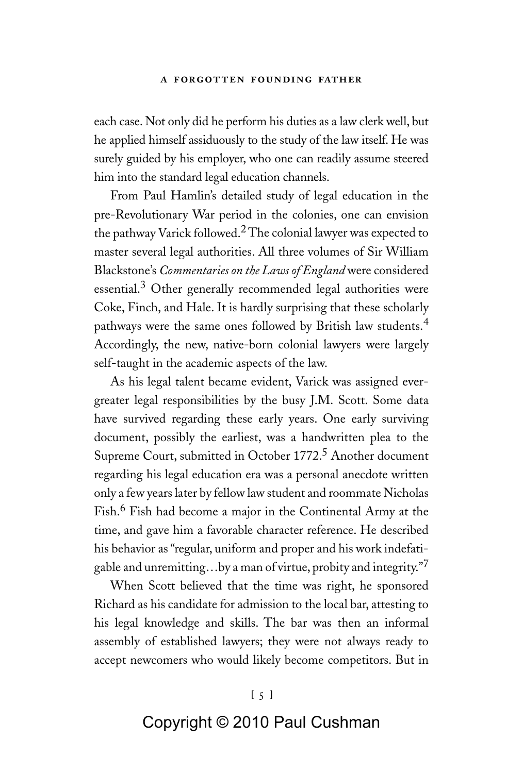#### **a forgotten founding father**

each case. Not only did he perform his duties as a law clerk well, but he applied himself assiduously to the study of the law itself. He was surely guided by his employer, who one can readily assume steered him into the standard legal education channels.

From Paul Hamlin's detailed study of legal education in the pre-Revolutionary War period in the colonies, one can envision the pathway Varick followed.<sup>2</sup> The colonial lawyer was expected to master several legal authorities. All three volumes of Sir William Blackstone's *Commentaries on the Laws of England* were considered essential.<sup>3</sup> Other generally recommended legal authorities were Coke, Finch, and Hale. It is hardly surprising that these scholarly pathways were the same ones followed by British law students.<sup>4</sup> Accordingly, the new, native-born colonial lawyers were largely self-taught in the academic aspects of the law.

As his legal talent became evident, Varick was assigned evergreater legal responsibilities by the busy J.M. Scott. Some data have survived regarding these early years. One early surviving document, possibly the earliest, was a handwritten plea to the Supreme Court, submitted in October 1772.<sup>5</sup> Another document regarding his legal education era was a personal anecdote written only a few years later by fellow law student and roommate Nicholas Fish.6 Fish had become a major in the Continental Army at the time, and gave him a favorable character reference. He described his behavior as "regular, uniform and proper and his work indefatigable and unremitting…by a man of virtue, probity and integrity."<sup>7</sup>

When Scott believed that the time was right, he sponsored Richard as his candidate for admission to the local bar, attesting to his legal knowledge and skills. The bar was then an informal assembly of established lawyers; they were not always ready to accept newcomers who would likely become competitors. But in

#### **[ ]**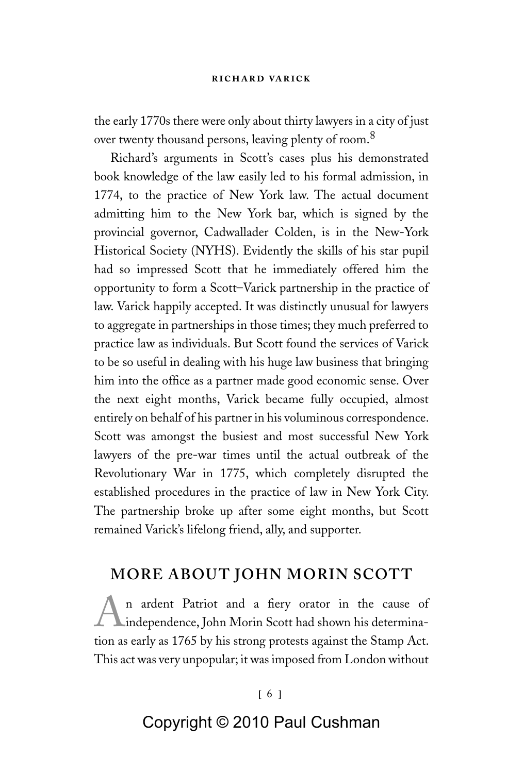#### **richard varick**

the early 1770s there were only about thirty lawyers in a city of just over twenty thousand persons, leaving plenty of room.<sup>8</sup>

Richard's arguments in Scott's cases plus his demonstrated book knowledge of the law easily led to his formal admission, in 1774, to the practice of New York law. The actual document admitting him to the New York bar, which is signed by the provincial governor, Cadwallader Colden, is in the New-York Historical Society (NYHS). Evidently the skills of his star pupil had so impressed Scott that he immediately offered him the opportunity to form a Scott–Varick partnership in the practice of law. Varick happily accepted. It was distinctly unusual for lawyers to aggregate in partnerships in those times; they much preferred to practice law as individuals. But Scott found the services of Varick to be so useful in dealing with his huge law business that bringing him into the office as a partner made good economic sense. Over the next eight months, Varick became fully occupied, almost entirely on behalf of his partner in his voluminous correspondence. Scott was amongst the busiest and most successful New York lawyers of the pre-war times until the actual outbreak of the Revolutionary War in 1775, which completely disrupted the established procedures in the practice of law in New York City. The partnership broke up after some eight months, but Scott remained Varick's lifelong friend, ally, and supporter.

# **More About John Morin Scott**

n ardent Patriot and a fiery orator in the cause of Lindependence, John Morin Scott had shown his determination as early as 1765 by his strong protests against the Stamp Act. This act was very unpopular; it was imposed from London without

#### **[ ]**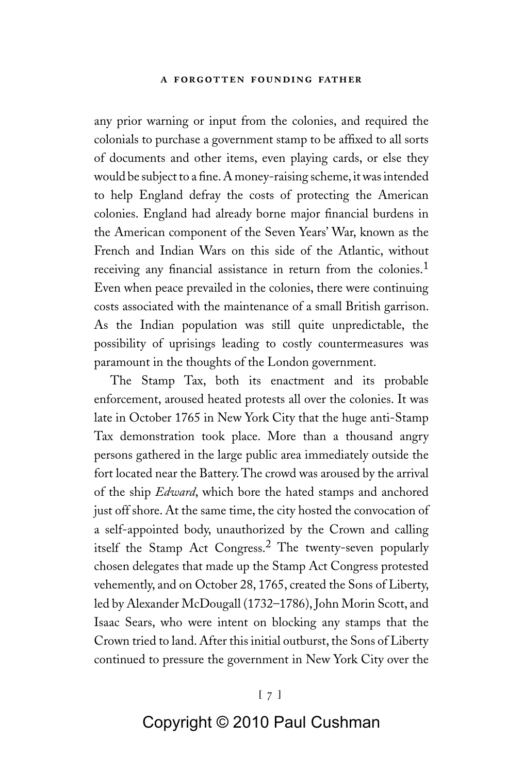#### **a forgotten founding father**

any prior warning or input from the colonies, and required the colonials to purchase a government stamp to be affixed to all sorts of documents and other items, even playing cards, or else they would be subject to a fine. A money-raising scheme, it was intended to help England defray the costs of protecting the American colonies. England had already borne major financial burdens in the American component of the Seven Years' War, known as the French and Indian Wars on this side of the Atlantic, without receiving any financial assistance in return from the colonies.<sup>1</sup> Even when peace prevailed in the colonies, there were continuing costs associated with the maintenance of a small British garrison. As the Indian population was still quite unpredictable, the possibility of uprisings leading to costly countermeasures was paramount in the thoughts of the London government.

The Stamp Tax, both its enactment and its probable enforcement, aroused heated protests all over the colonies. It was late in October 1765 in New York City that the huge anti-Stamp Tax demonstration took place. More than a thousand angry persons gathered in the large public area immediately outside the fort located near the Battery. The crowd was aroused by the arrival of the ship *Edward*, which bore the hated stamps and anchored just off shore. At the same time, the city hosted the convocation of a self-appointed body, unauthorized by the Crown and calling itself the Stamp Act Congress.2 The twenty-seven popularly chosen delegates that made up the Stamp Act Congress protested vehemently, and on October 28, 1765, created the Sons of Liberty, led by Alexander McDougall (1732–1786), John Morin Scott, and Isaac Sears, who were intent on blocking any stamps that the Crown tried to land. After this initial outburst, the Sons of Liberty continued to pressure the government in New York City over the

#### **[ ]**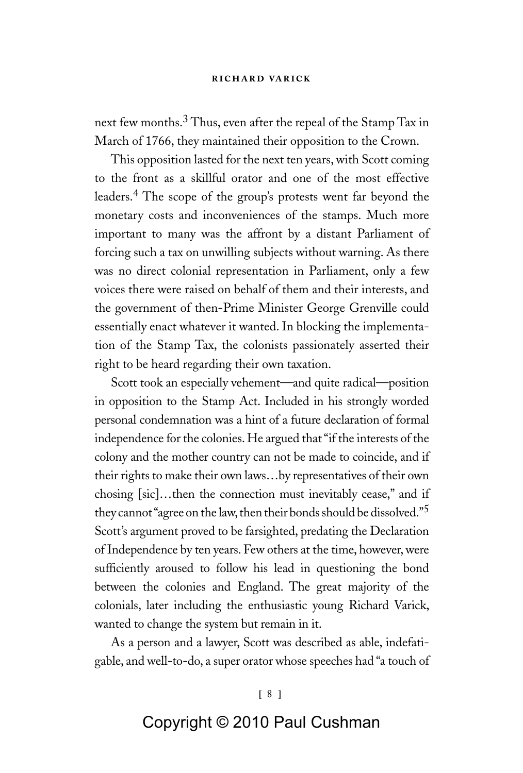#### **richard varick**

next few months.<sup>3</sup> Thus, even after the repeal of the Stamp Tax in March of 1766, they maintained their opposition to the Crown.

This opposition lasted for the next ten years, with Scott coming to the front as a skillful orator and one of the most effective leaders.4 The scope of the group's protests went far beyond the monetary costs and inconveniences of the stamps. Much more important to many was the affront by a distant Parliament of forcing such a tax on unwilling subjects without warning. As there was no direct colonial representation in Parliament, only a few voices there were raised on behalf of them and their interests, and the government of then-Prime Minister George Grenville could essentially enact whatever it wanted. In blocking the implementation of the Stamp Tax, the colonists passionately asserted their right to be heard regarding their own taxation.

Scott took an especially vehement—and quite radical—position in opposition to the Stamp Act. Included in his strongly worded personal condemnation was a hint of a future declaration of formal independence for the colonies. He argued that "if the interests of the colony and the mother country can not be made to coincide, and if their rights to make their own laws…by representatives of their own chosing [sic]…then the connection must inevitably cease," and if they cannot "agree on the law, then their bonds should be dissolved."<sup>5</sup> Scott's argument proved to be farsighted, predating the Declaration of Independence by ten years. Few others at the time, however, were sufficiently aroused to follow his lead in questioning the bond between the colonies and England. The great majority of the colonials, later including the enthusiastic young Richard Varick, wanted to change the system but remain in it.

As a person and a lawyer, Scott was described as able, indefatigable, and well-to-do, a super orator whose speeches had "a touch of

#### **[ ]**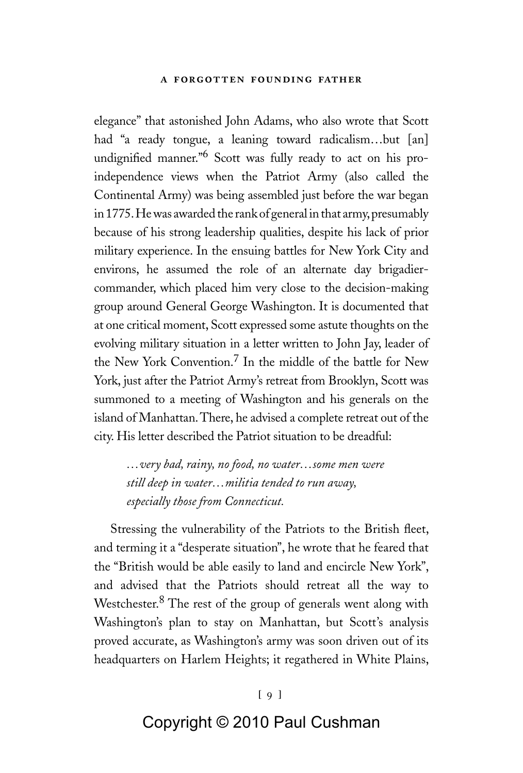#### **a forgotten founding father**

elegance" that astonished John Adams, who also wrote that Scott had "a ready tongue, a leaning toward radicalism…but [an] undignified manner."<sup>6</sup> Scott was fully ready to act on his proindependence views when the Patriot Army (also called the Continental Army) was being assembled just before the war began in 1775. He was awarded the rank of general in that army, presumably because of his strong leadership qualities, despite his lack of prior military experience. In the ensuing battles for New York City and environs, he assumed the role of an alternate day brigadiercommander, which placed him very close to the decision-making group around General George Washington. It is documented that at one critical moment, Scott expressed some astute thoughts on the evolving military situation in a letter written to John Jay, leader of the New York Convention.7 In the middle of the battle for New York, just after the Patriot Army's retreat from Brooklyn, Scott was summoned to a meeting of Washington and his generals on the island of Manhattan. There, he advised a complete retreat out of the city. His letter described the Patriot situation to be dreadful:

*…very bad, rainy, no food, no water…some men were still deep in water…militia tended to run away, especially those from Connecticut.*

Stressing the vulnerability of the Patriots to the British fleet, and terming it a "desperate situation", he wrote that he feared that the "British would be able easily to land and encircle New York", and advised that the Patriots should retreat all the way to Westchester.8 The rest of the group of generals went along with Washington's plan to stay on Manhattan, but Scott's analysis proved accurate, as Washington's army was soon driven out of its headquarters on Harlem Heights; it regathered in White Plains,

#### **[ ]**